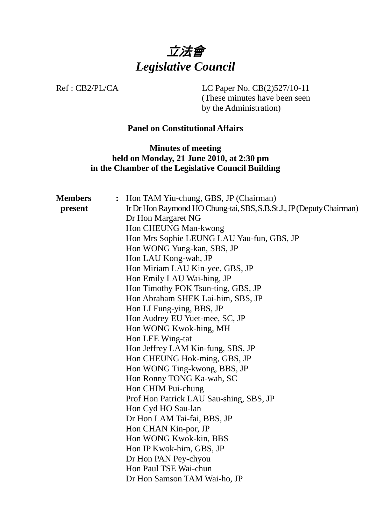

Ref : CB2/PL/CA LC Paper No. CB(2)527/10-11 (These minutes have been seen

by the Administration)

# **Panel on Constitutional Affairs**

**Minutes of meeting held on Monday, 21 June 2010, at 2:30 pm in the Chamber of the Legislative Council Building** 

| <b>Members</b> | Hon TAM Yiu-chung, GBS, JP (Chairman)<br>$\ddot{\bullet}$            |  |  |
|----------------|----------------------------------------------------------------------|--|--|
| present        | Ir Dr Hon Raymond HO Chung-tai, SBS, S.B.St.J., JP (Deputy Chairman) |  |  |
|                | Dr Hon Margaret NG                                                   |  |  |
|                | Hon CHEUNG Man-kwong                                                 |  |  |
|                | Hon Mrs Sophie LEUNG LAU Yau-fun, GBS, JP                            |  |  |
|                | Hon WONG Yung-kan, SBS, JP                                           |  |  |
|                | Hon LAU Kong-wah, JP                                                 |  |  |
|                | Hon Miriam LAU Kin-yee, GBS, JP                                      |  |  |
|                | Hon Emily LAU Wai-hing, JP                                           |  |  |
|                | Hon Timothy FOK Tsun-ting, GBS, JP                                   |  |  |
|                | Hon Abraham SHEK Lai-him, SBS, JP                                    |  |  |
|                | Hon LI Fung-ying, BBS, JP                                            |  |  |
|                | Hon Audrey EU Yuet-mee, SC, JP                                       |  |  |
|                | Hon WONG Kwok-hing, MH                                               |  |  |
|                | Hon LEE Wing-tat                                                     |  |  |
|                | Hon Jeffrey LAM Kin-fung, SBS, JP                                    |  |  |
|                | Hon CHEUNG Hok-ming, GBS, JP                                         |  |  |
|                | Hon WONG Ting-kwong, BBS, JP                                         |  |  |
|                | Hon Ronny TONG Ka-wah, SC                                            |  |  |
|                | Hon CHIM Pui-chung                                                   |  |  |
|                | Prof Hon Patrick LAU Sau-shing, SBS, JP                              |  |  |
|                | Hon Cyd HO Sau-lan                                                   |  |  |
|                | Dr Hon LAM Tai-fai, BBS, JP                                          |  |  |
|                | Hon CHAN Kin-por, JP                                                 |  |  |
|                | Hon WONG Kwok-kin, BBS                                               |  |  |
|                | Hon IP Kwok-him, GBS, JP                                             |  |  |
|                | Dr Hon PAN Pey-chyou                                                 |  |  |
|                | Hon Paul TSE Wai-chun                                                |  |  |
|                | Dr Hon Samson TAM Wai-ho, JP                                         |  |  |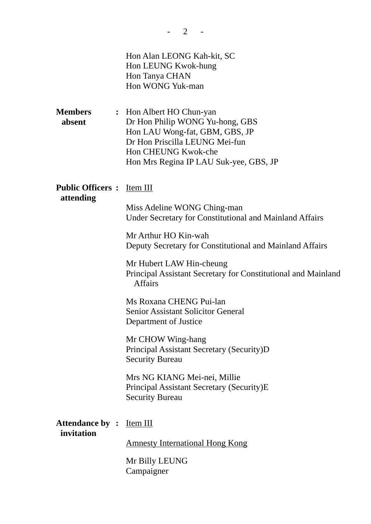| <b>Members</b><br>absent             | Hon Alan LEONG Kah-kit, SC<br>Hon LEUNG Kwok-hung<br>Hon Tanya CHAN<br>Hon WONG Yuk-man<br>: Hon Albert HO Chun-yan<br>Dr Hon Philip WONG Yu-hong, GBS<br>Hon LAU Wong-fat, GBM, GBS, JP<br>Dr Hon Priscilla LEUNG Mei-fun<br>Hon CHEUNG Kwok-che<br>Hon Mrs Regina IP LAU Suk-yee, GBS, JP           |
|--------------------------------------|-------------------------------------------------------------------------------------------------------------------------------------------------------------------------------------------------------------------------------------------------------------------------------------------------------|
| <b>Public Officers:</b><br>attending | Item III<br>Miss Adeline WONG Ching-man<br>Under Secretary for Constitutional and Mainland Affairs<br>Mr Arthur HO Kin-wah<br>Deputy Secretary for Constitutional and Mainland Affairs<br>Mr Hubert LAW Hin-cheung<br>Principal Assistant Secretary for Constitutional and Mainland<br><b>Affairs</b> |
|                                      | Ms Roxana CHENG Pui-lan<br><b>Senior Assistant Solicitor General</b><br>Department of Justice<br>Mr CHOW Wing-hang<br>Principal Assistant Secretary (Security)D                                                                                                                                       |
|                                      | <b>Security Bureau</b><br>Mrs NG KIANG Mei-nei, Millie<br>Principal Assistant Secretary (Security)E<br><b>Security Bureau</b>                                                                                                                                                                         |
| <b>Attendance by:</b><br>invitation  | Item III                                                                                                                                                                                                                                                                                              |

 $- 2 - -$ 

Amnesty International Hong Kong

Mr Billy LEUNG Campaigner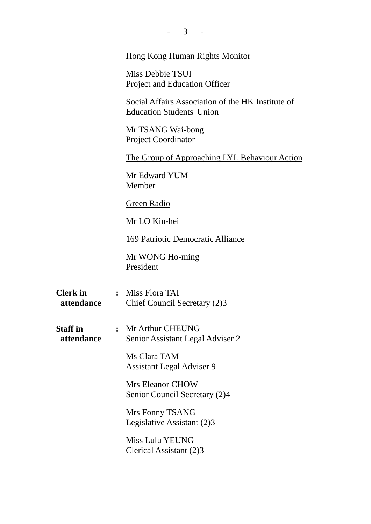|                               |                | 3                                                                                     |
|-------------------------------|----------------|---------------------------------------------------------------------------------------|
|                               |                | <b>Hong Kong Human Rights Monitor</b>                                                 |
|                               |                | Miss Debbie TSUI<br>Project and Education Officer                                     |
|                               |                | Social Affairs Association of the HK Institute of<br><b>Education Students' Union</b> |
|                               |                | Mr TSANG Wai-bong<br><b>Project Coordinator</b>                                       |
|                               |                | The Group of Approaching LYL Behaviour Action                                         |
|                               |                | Mr Edward YUM<br>Member                                                               |
|                               |                | Green Radio                                                                           |
|                               |                | Mr LO Kin-hei                                                                         |
|                               |                | 169 Patriotic Democratic Alliance                                                     |
|                               |                | Mr WONG Ho-ming<br>President                                                          |
| <b>Clerk</b> in<br>attendance |                | : Miss Flora TAI<br>Chief Council Secretary (2)3                                      |
| <b>Staff</b> in<br>attendance | $\ddot{\cdot}$ | Mr Arthur CHEUNG<br>Senior Assistant Legal Adviser 2                                  |
|                               |                | Ms Clara TAM<br><b>Assistant Legal Adviser 9</b>                                      |
|                               |                | Mrs Eleanor CHOW<br>Senior Council Secretary (2)4                                     |
|                               |                | Mrs Fonny TSANG<br>Legislative Assistant (2)3                                         |
|                               |                | <b>Miss Lulu YEUNG</b><br>Clerical Assistant (2)3                                     |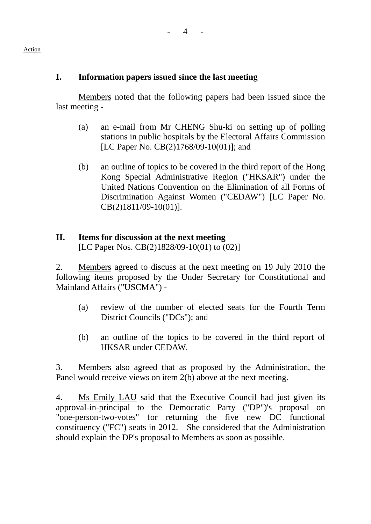## **I. Information papers issued since the last meeting**

Members noted that the following papers had been issued since the last meeting -

- (a) an e-mail from Mr CHENG Shu-ki on setting up of polling stations in public hospitals by the Electoral Affairs Commission [LC Paper No. CB(2)1768/09-10(01)]; and
- (b) an outline of topics to be covered in the third report of the Hong Kong Special Administrative Region ("HKSAR") under the United Nations Convention on the Elimination of all Forms of Discrimination Against Women ("CEDAW") [LC Paper No. CB(2)1811/09-10(01)].

# **II. Items for discussion at the next meeting**

[LC Paper Nos. CB(2)1828/09-10(01) to (02)]

2. Members agreed to discuss at the next meeting on 19 July 2010 the following items proposed by the Under Secretary for Constitutional and Mainland Affairs ("USCMA") -

- (a) review of the number of elected seats for the Fourth Term District Councils ("DCs"); and
- (b) an outline of the topics to be covered in the third report of HKSAR under CEDAW.

3. Members also agreed that as proposed by the Administration, the Panel would receive views on item 2(b) above at the next meeting.

4. Ms Emily LAU said that the Executive Council had just given its approval-in-principal to the Democratic Party ("DP")'s proposal on "one-person-two-votes" for returning the five new DC functional constituency ("FC") seats in 2012. She considered that the Administration should explain the DP's proposal to Members as soon as possible.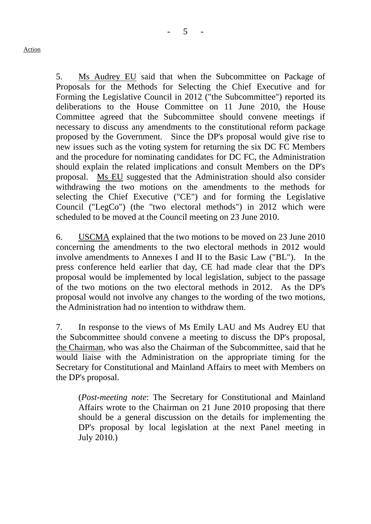5. Ms Audrey EU said that when the Subcommittee on Package of Proposals for the Methods for Selecting the Chief Executive and for Forming the Legislative Council in 2012 ("the Subcommittee") reported its deliberations to the House Committee on 11 June 2010, the House Committee agreed that the Subcommittee should convene meetings if necessary to discuss any amendments to the constitutional reform package proposed by the Government. Since the DP's proposal would give rise to new issues such as the voting system for returning the six DC FC Members and the procedure for nominating candidates for DC FC, the Administration should explain the related implications and consult Members on the DP's proposal. Ms EU suggested that the Administration should also consider withdrawing the two motions on the amendments to the methods for selecting the Chief Executive ("CE") and for forming the Legislative Council ("LegCo") (the "two electoral methods") in 2012 which were scheduled to be moved at the Council meeting on 23 June 2010.

6. USCMA explained that the two motions to be moved on 23 June 2010 concerning the amendments to the two electoral methods in 2012 would involve amendments to Annexes I and II to the Basic Law ("BL"). In the press conference held earlier that day, CE had made clear that the DP's proposal would be implemented by local legislation, subject to the passage of the two motions on the two electoral methods in 2012. As the DP's proposal would not involve any changes to the wording of the two motions, the Administration had no intention to withdraw them.

7. In response to the views of Ms Emily LAU and Ms Audrey EU that the Subcommittee should convene a meeting to discuss the DP's proposal, the Chairman, who was also the Chairman of the Subcommittee, said that he would liaise with the Administration on the appropriate timing for the Secretary for Constitutional and Mainland Affairs to meet with Members on the DP's proposal.

(*Post-meeting note*: The Secretary for Constitutional and Mainland Affairs wrote to the Chairman on 21 June 2010 proposing that there should be a general discussion on the details for implementing the DP's proposal by local legislation at the next Panel meeting in July 2010.)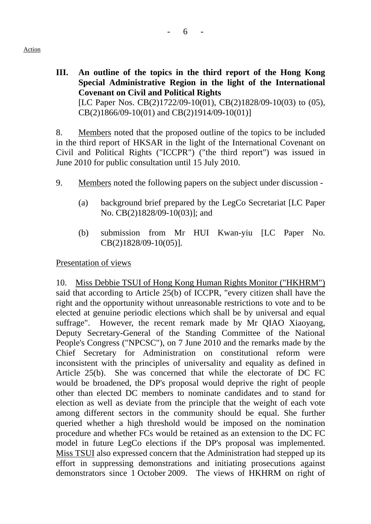**III. An outline of the topics in the third report of the Hong Kong Special Administrative Region in the light of the International Covenant on Civil and Political Rights**  [LC Paper Nos. CB(2)1722/09-10(01), CB(2)1828/09-10(03) to (05), CB(2)1866/09-10(01) and CB(2)1914/09-10(01)]

8. Members noted that the proposed outline of the topics to be included in the third report of HKSAR in the light of the International Covenant on Civil and Political Rights ("ICCPR") ("the third report") was issued in June 2010 for public consultation until 15 July 2010.

- 9. Members noted the following papers on the subject under discussion
	- (a) background brief prepared by the LegCo Secretariat [LC Paper No. CB(2)1828/09-10(03)]; and
	- (b) submission from Mr HUI Kwan-yiu [LC Paper No. CB(2)1828/09-10(05)].

Presentation of views

10. Miss Debbie TSUI of Hong Kong Human Rights Monitor ("HKHRM") said that according to Article 25(b) of ICCPR, "every citizen shall have the right and the opportunity without unreasonable restrictions to vote and to be elected at genuine periodic elections which shall be by universal and equal suffrage". However, the recent remark made by Mr QIAO Xiaoyang, Deputy Secretary-General of the Standing Committee of the National People's Congress ("NPCSC"), on 7 June 2010 and the remarks made by the Chief Secretary for Administration on constitutional reform were inconsistent with the principles of universality and equality as defined in Article 25(b). She was concerned that while the electorate of DC FC would be broadened, the DP's proposal would deprive the right of people other than elected DC members to nominate candidates and to stand for election as well as deviate from the principle that the weight of each vote among different sectors in the community should be equal. She further queried whether a high threshold would be imposed on the nomination procedure and whether FCs would be retained as an extension to the DC FC model in future LegCo elections if the DP's proposal was implemented. Miss TSUI also expressed concern that the Administration had stepped up its effort in suppressing demonstrations and initiating prosecutions against demonstrators since 1 October 2009. The views of HKHRM on right of

Action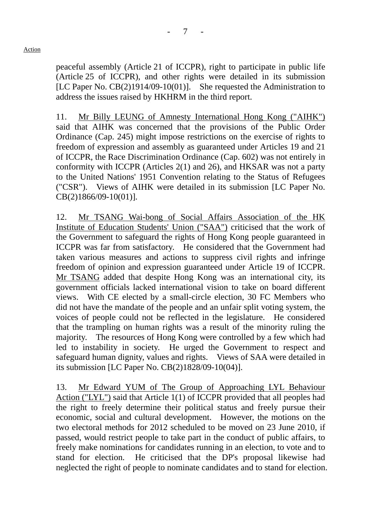peaceful assembly (Article 21 of ICCPR), right to participate in public life (Article 25 of ICCPR), and other rights were detailed in its submission [LC Paper No. CB(2)1914/09-10(01)]. She requested the Administration to address the issues raised by HKHRM in the third report.

11. Mr Billy LEUNG of Amnesty International Hong Kong ("AIHK") said that AIHK was concerned that the provisions of the Public Order Ordinance (Cap. 245) might impose restrictions on the exercise of rights to freedom of expression and assembly as guaranteed under Articles 19 and 21 of ICCPR, the Race Discrimination Ordinance (Cap. 602) was not entirely in conformity with ICCPR (Articles 2(1) and 26), and HKSAR was not a party to the United Nations' 1951 Convention relating to the Status of Refugees ("CSR"). Views of AIHK were detailed in its submission [LC Paper No. CB(2)1866/09-10(01)].

12. Mr TSANG Wai-bong of Social Affairs Association of the HK Institute of Education Students' Union ("SAA") criticised that the work of the Government to safeguard the rights of Hong Kong people guaranteed in ICCPR was far from satisfactory. He considered that the Government had taken various measures and actions to suppress civil rights and infringe freedom of opinion and expression guaranteed under Article 19 of ICCPR. Mr TSANG added that despite Hong Kong was an international city, its government officials lacked international vision to take on board different views. With CE elected by a small-circle election, 30 FC Members who did not have the mandate of the people and an unfair split voting system, the voices of people could not be reflected in the legislature. He considered that the trampling on human rights was a result of the minority ruling the majority. The resources of Hong Kong were controlled by a few which had led to instability in society. He urged the Government to respect and safeguard human dignity, values and rights. Views of SAA were detailed in its submission [LC Paper No. CB(2)1828/09-10(04)].

13. Mr Edward YUM of The Group of Approaching LYL Behaviour Action ("LYL") said that Article 1(1) of ICCPR provided that all peoples had the right to freely determine their political status and freely pursue their economic, social and cultural development. However, the motions on the two electoral methods for 2012 scheduled to be moved on 23 June 2010, if passed, would restrict people to take part in the conduct of public affairs, to freely make nominations for candidates running in an election, to vote and to stand for election. He criticised that the DP's proposal likewise had neglected the right of people to nominate candidates and to stand for election.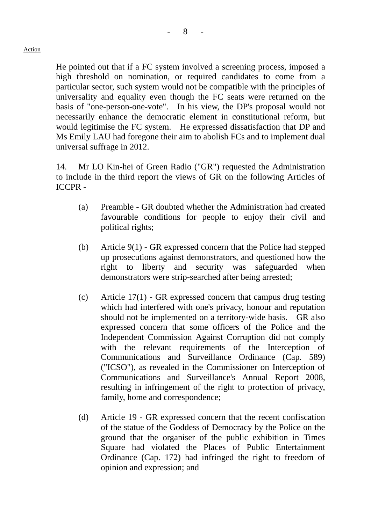He pointed out that if a FC system involved a screening process, imposed a high threshold on nomination, or required candidates to come from a particular sector, such system would not be compatible with the principles of universality and equality even though the FC seats were returned on the basis of "one-person-one-vote". In his view, the DP's proposal would not necessarily enhance the democratic element in constitutional reform, but would legitimise the FC system. He expressed dissatisfaction that DP and Ms Emily LAU had foregone their aim to abolish FCs and to implement dual universal suffrage in 2012.

14. Mr LO Kin-hei of Green Radio ("GR") requested the Administration to include in the third report the views of GR on the following Articles of ICCPR -

- (a) Preamble GR doubted whether the Administration had created favourable conditions for people to enjoy their civil and political rights;
- (b) Article 9(1) GR expressed concern that the Police had stepped up prosecutions against demonstrators, and questioned how the right to liberty and security was safeguarded when demonstrators were strip-searched after being arrested;
- (c) Article 17(1) GR expressed concern that campus drug testing which had interfered with one's privacy, honour and reputation should not be implemented on a territory-wide basis. GR also expressed concern that some officers of the Police and the Independent Commission Against Corruption did not comply with the relevant requirements of the Interception of Communications and Surveillance Ordinance (Cap. 589) ("ICSO"), as revealed in the Commissioner on Interception of Communications and Surveillance's Annual Report 2008, resulting in infringement of the right to protection of privacy, family, home and correspondence;
- (d) Article 19 GR expressed concern that the recent confiscation of the statue of the Goddess of Democracy by the Police on the ground that the organiser of the public exhibition in Times Square had violated the Places of Public Entertainment Ordinance (Cap. 172) had infringed the right to freedom of opinion and expression; and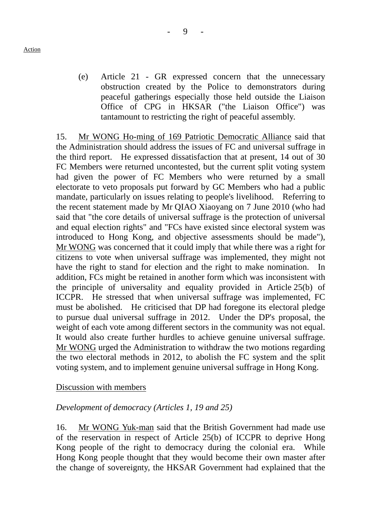(e) Article 21 - GR expressed concern that the unnecessary obstruction created by the Police to demonstrators during peaceful gatherings especially those held outside the Liaison Office of CPG in HKSAR ("the Liaison Office") was tantamount to restricting the right of peaceful assembly.

15. Mr WONG Ho-ming of 169 Patriotic Democratic Alliance said that the Administration should address the issues of FC and universal suffrage in the third report. He expressed dissatisfaction that at present, 14 out of 30 FC Members were returned uncontested, but the current split voting system had given the power of FC Members who were returned by a small electorate to veto proposals put forward by GC Members who had a public mandate, particularly on issues relating to people's livelihood. Referring to the recent statement made by Mr QIAO Xiaoyang on 7 June 2010 (who had said that "the core details of universal suffrage is the protection of universal and equal election rights" and "FCs have existed since electoral system was introduced to Hong Kong, and objective assessments should be made"), Mr WONG was concerned that it could imply that while there was a right for citizens to vote when universal suffrage was implemented, they might not have the right to stand for election and the right to make nomination. addition, FCs might be retained in another form which was inconsistent with the principle of universality and equality provided in Article 25(b) of ICCPR. He stressed that when universal suffrage was implemented, FC must be abolished. He criticised that DP had foregone its electoral pledge to pursue dual universal suffrage in 2012. Under the DP's proposal, the weight of each vote among different sectors in the community was not equal. It would also create further hurdles to achieve genuine universal suffrage. Mr WONG urged the Administration to withdraw the two motions regarding the two electoral methods in 2012, to abolish the FC system and the split voting system, and to implement genuine universal suffrage in Hong Kong.

### Discussion with members

### *Development of democracy (Articles 1, 19 and 25)*

16. Mr WONG Yuk-man said that the British Government had made use of the reservation in respect of Article 25(b) of ICCPR to deprive Hong Kong people of the right to democracy during the colonial era. While Hong Kong people thought that they would become their own master after the change of sovereignty, the HKSAR Government had explained that the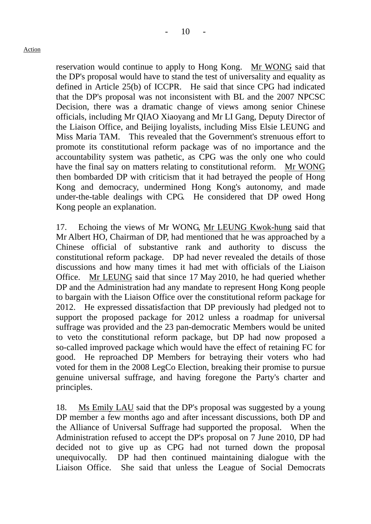reservation would continue to apply to Hong Kong. Mr WONG said that the DP's proposal would have to stand the test of universality and equality as defined in Article 25(b) of ICCPR. He said that since CPG had indicated that the DP's proposal was not inconsistent with BL and the 2007 NPCSC Decision, there was a dramatic change of views among senior Chinese officials, including Mr QIAO Xiaoyang and Mr LI Gang, Deputy Director of the Liaison Office, and Beijing loyalists, including Miss Elsie LEUNG and Miss Maria TAM. This revealed that the Government's strenuous effort to promote its constitutional reform package was of no importance and the accountability system was pathetic, as CPG was the only one who could have the final say on matters relating to constitutional reform. Mr WONG then bombarded DP with criticism that it had betrayed the people of Hong Kong and democracy, undermined Hong Kong's autonomy, and made under-the-table dealings with CPG. He considered that DP owed Hong Kong people an explanation.

17. Echoing the views of Mr WONG, Mr LEUNG Kwok-hung said that Mr Albert HO, Chairman of DP, had mentioned that he was approached by a Chinese official of substantive rank and authority to discuss the constitutional reform package. DP had never revealed the details of those discussions and how many times it had met with officials of the Liaison Office. Mr LEUNG said that since 17 May 2010, he had queried whether DP and the Administration had any mandate to represent Hong Kong people to bargain with the Liaison Office over the constitutional reform package for 2012. He expressed dissatisfaction that DP previously had pledged not to support the proposed package for 2012 unless a roadmap for universal suffrage was provided and the 23 pan-democratic Members would be united to veto the constitutional reform package, but DP had now proposed a so-called improved package which would have the effect of retaining FC for good. He reproached DP Members for betraying their voters who had voted for them in the 2008 LegCo Election, breaking their promise to pursue genuine universal suffrage, and having foregone the Party's charter and principles.

18. Ms Emily LAU said that the DP's proposal was suggested by a young DP member a few months ago and after incessant discussions, both DP and the Alliance of Universal Suffrage had supported the proposal. When the Administration refused to accept the DP's proposal on 7 June 2010, DP had decided not to give up as CPG had not turned down the proposal unequivocally. DP had then continued maintaining dialogue with the Liaison Office. She said that unless the League of Social Democrats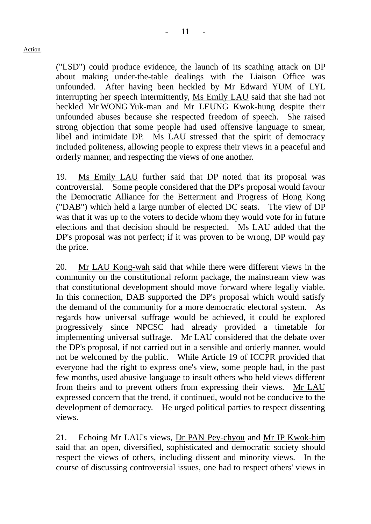("LSD") could produce evidence, the launch of its scathing attack on DP about making under-the-table dealings with the Liaison Office was unfounded. After having been heckled by Mr Edward YUM of LYL interrupting her speech intermittently, Ms Emily LAU said that she had not heckled Mr WONG Yuk-man and Mr LEUNG Kwok-hung despite their unfounded abuses because she respected freedom of speech. She raised strong objection that some people had used offensive language to smear, libel and intimidate DP. Ms LAU stressed that the spirit of democracy included politeness, allowing people to express their views in a peaceful and orderly manner, and respecting the views of one another.

19. Ms Emily LAU further said that DP noted that its proposal was controversial. Some people considered that the DP's proposal would favour the Democratic Alliance for the Betterment and Progress of Hong Kong ("DAB") which held a large number of elected DC seats. The view of DP was that it was up to the voters to decide whom they would vote for in future elections and that decision should be respected. Ms LAU added that the DP's proposal was not perfect; if it was proven to be wrong, DP would pay the price.

20. Mr LAU Kong-wah said that while there were different views in the community on the constitutional reform package, the mainstream view was that constitutional development should move forward where legally viable. In this connection, DAB supported the DP's proposal which would satisfy the demand of the community for a more democratic electoral system. As regards how universal suffrage would be achieved, it could be explored progressively since NPCSC had already provided a timetable for implementing universal suffrage. Mr LAU considered that the debate over the DP's proposal, if not carried out in a sensible and orderly manner, would not be welcomed by the public. While Article 19 of ICCPR provided that everyone had the right to express one's view, some people had, in the past few months, used abusive language to insult others who held views different from theirs and to prevent others from expressing their views. Mr LAU expressed concern that the trend, if continued, would not be conducive to the development of democracy. He urged political parties to respect dissenting views.

21. Echoing Mr LAU's views, Dr PAN Pey-chyou and Mr IP Kwok-him said that an open, diversified, sophisticated and democratic society should respect the views of others, including dissent and minority views. In the course of discussing controversial issues, one had to respect others' views in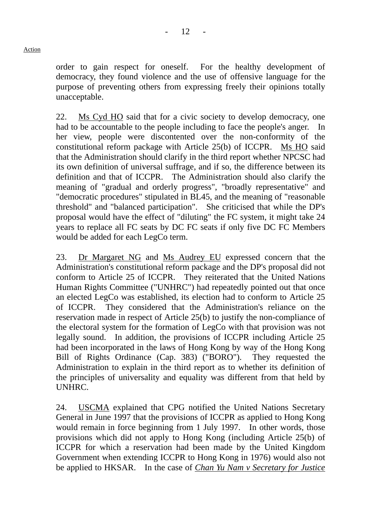order to gain respect for oneself. For the healthy development of democracy, they found violence and the use of offensive language for the purpose of preventing others from expressing freely their opinions totally unacceptable.

22. Ms Cyd HO said that for a civic society to develop democracy, one had to be accountable to the people including to face the people's anger. In her view, people were discontented over the non-conformity of the constitutional reform package with Article 25(b) of ICCPR. Ms HO said that the Administration should clarify in the third report whether NPCSC had its own definition of universal suffrage, and if so, the difference between its definition and that of ICCPR. The Administration should also clarify the meaning of "gradual and orderly progress", "broadly representative" and "democratic procedures" stipulated in BL45, and the meaning of "reasonable threshold" and "balanced participation". She criticised that while the DP's proposal would have the effect of "diluting" the FC system, it might take 24 years to replace all FC seats by DC FC seats if only five DC FC Members would be added for each LegCo term.

23. Dr Margaret NG and Ms Audrey EU expressed concern that the Administration's constitutional reform package and the DP's proposal did not conform to Article 25 of ICCPR. They reiterated that the United Nations Human Rights Committee ("UNHRC") had repeatedly pointed out that once an elected LegCo was established, its election had to conform to Article 25 of ICCPR. They considered that the Administration's reliance on the reservation made in respect of Article 25(b) to justify the non-compliance of the electoral system for the formation of LegCo with that provision was not legally sound. In addition, the provisions of ICCPR including Article 25 had been incorporated in the laws of Hong Kong by way of the Hong Kong Bill of Rights Ordinance (Cap. 383) ("BORO"). They requested the Administration to explain in the third report as to whether its definition of the principles of universality and equality was different from that held by UNHRC.

24. USCMA explained that CPG notified the United Nations Secretary General in June 1997 that the provisions of ICCPR as applied to Hong Kong would remain in force beginning from 1 July 1997. In other words, those provisions which did not apply to Hong Kong (including Article 25(b) of ICCPR for which a reservation had been made by the United Kingdom Government when extending ICCPR to Hong Kong in 1976) would also not be applied to HKSAR. In the case of *Chan Yu Nam v Secretary for Justice*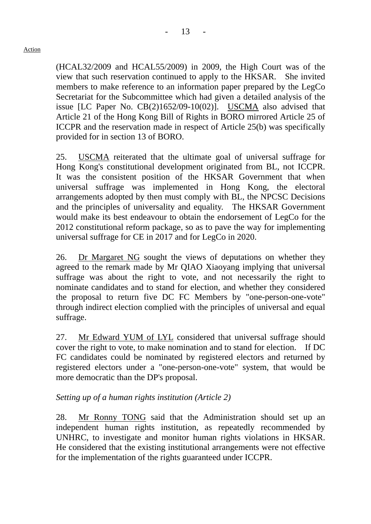(HCAL32/2009 and HCAL55/2009) in 2009, the High Court was of the view that such reservation continued to apply to the HKSAR. She invited members to make reference to an information paper prepared by the LegCo Secretariat for the Subcommittee which had given a detailed analysis of the issue [LC Paper No. CB(2)1652/09-10(02)]. USCMA also advised that Article 21 of the Hong Kong Bill of Rights in BORO mirrored Article 25 of ICCPR and the reservation made in respect of Article 25(b) was specifically provided for in section 13 of BORO.

25. USCMA reiterated that the ultimate goal of universal suffrage for Hong Kong's constitutional development originated from BL, not ICCPR. It was the consistent position of the HKSAR Government that when universal suffrage was implemented in Hong Kong, the electoral arrangements adopted by then must comply with BL, the NPCSC Decisions and the principles of universality and equality. The HKSAR Government would make its best endeavour to obtain the endorsement of LegCo for the 2012 constitutional reform package, so as to pave the way for implementing universal suffrage for CE in 2017 and for LegCo in 2020.

26. Dr Margaret NG sought the views of deputations on whether they agreed to the remark made by Mr QIAO Xiaoyang implying that universal suffrage was about the right to vote, and not necessarily the right to nominate candidates and to stand for election, and whether they considered the proposal to return five DC FC Members by "one-person-one-vote" through indirect election complied with the principles of universal and equal suffrage.

27. Mr Edward YUM of LYL considered that universal suffrage should cover the right to vote, to make nomination and to stand for election. If DC FC candidates could be nominated by registered electors and returned by registered electors under a "one-person-one-vote" system, that would be more democratic than the DP's proposal.

# *Setting up of a human rights institution (Article 2)*

28. Mr Ronny TONG said that the Administration should set up an independent human rights institution, as repeatedly recommended by UNHRC, to investigate and monitor human rights violations in HKSAR. He considered that the existing institutional arrangements were not effective for the implementation of the rights guaranteed under ICCPR.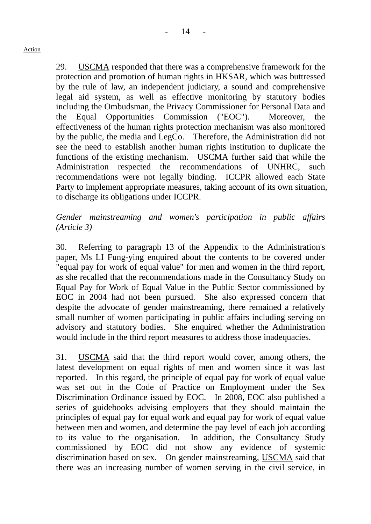$14$ 

Action

29. USCMA responded that there was a comprehensive framework for the protection and promotion of human rights in HKSAR, which was buttressed by the rule of law, an independent judiciary, a sound and comprehensive legal aid system, as well as effective monitoring by statutory bodies including the Ombudsman, the Privacy Commissioner for Personal Data and the Equal Opportunities Commission ("EOC"). Moreover, the effectiveness of the human rights protection mechanism was also monitored by the public, the media and LegCo. Therefore, the Administration did not see the need to establish another human rights institution to duplicate the functions of the existing mechanism. USCMA further said that while the Administration respected the recommendations of UNHRC, such recommendations were not legally binding. ICCPR allowed each State Party to implement appropriate measures, taking account of its own situation, to discharge its obligations under ICCPR.

# *Gender mainstreaming and women's participation in public affairs (Article 3)*

30. Referring to paragraph 13 of the Appendix to the Administration's paper, Ms LI Fung-ying enquired about the contents to be covered under "equal pay for work of equal value" for men and women in the third report, as she recalled that the recommendations made in the Consultancy Study on Equal Pay for Work of Equal Value in the Public Sector commissioned by EOC in 2004 had not been pursued. She also expressed concern that despite the advocate of gender mainstreaming, there remained a relatively small number of women participating in public affairs including serving on advisory and statutory bodies. She enquired whether the Administration would include in the third report measures to address those inadequacies.

31. USCMA said that the third report would cover, among others, the latest development on equal rights of men and women since it was last reported. In this regard, the principle of equal pay for work of equal value was set out in the Code of Practice on Employment under the Sex Discrimination Ordinance issued by EOC. In 2008, EOC also published a series of guidebooks advising employers that they should maintain the principles of equal pay for equal work and equal pay for work of equal value between men and women, and determine the pay level of each job according to its value to the organisation. In addition, the Consultancy Study commissioned by EOC did not show any evidence of systemic discrimination based on sex. On gender mainstreaming, USCMA said that there was an increasing number of women serving in the civil service, in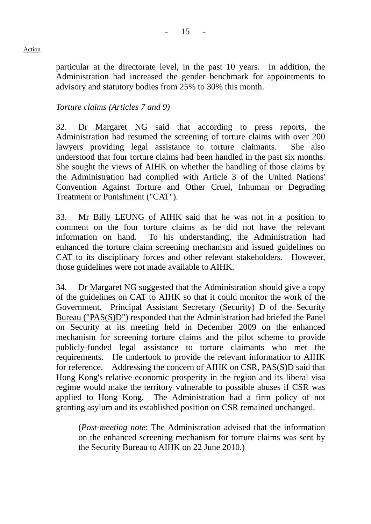particular at the directorate level, in the past 10 years. In addition, the Administration had increased the gender benchmark for appointments to advisory and statutory bodies from 25% to 30% this month.

## *Torture claims (Articles 7 and 9)*

32. Dr Margaret NG said that according to press reports, the Administration had resumed the screening of torture claims with over 200 lawyers providing legal assistance to torture claimants. She also understood that four torture claims had been handled in the past six months. She sought the views of AIHK on whether the handling of those claims by the Administration had complied with Article 3 of the United Nations' Convention Against Torture and Other Cruel, Inhuman or Degrading Treatment or Punishment ("CAT").

33. Mr Billy LEUNG of AIHK said that he was not in a position to comment on the four torture claims as he did not have the relevant information on hand. To his understanding, the Administration had enhanced the torture claim screening mechanism and issued guidelines on CAT to its disciplinary forces and other relevant stakeholders. However, those guidelines were not made available to AIHK.

34. Dr Margaret NG suggested that the Administration should give a copy of the guidelines on CAT to AIHK so that it could monitor the work of the Government. Principal Assistant Secretary (Security) D of the Security Bureau ("PAS(S)D") responded that the Administration had briefed the Panel on Security at its meeting held in December 2009 on the enhanced mechanism for screening torture claims and the pilot scheme to provide publicly-funded legal assistance to torture claimants who met the requirements. He undertook to provide the relevant information to AIHK for reference. Addressing the concern of AIHK on CSR, PAS(S)D said that Hong Kong's relative economic prosperity in the region and its liberal visa regime would make the territory vulnerable to possible abuses if CSR was applied to Hong Kong. The Administration had a firm policy of not granting asylum and its established position on CSR remained unchanged.

(*Post-meeting note*: The Administration advised that the information on the enhanced screening mechanism for torture claims was sent by the Security Bureau to AIHK on 22 June 2010.)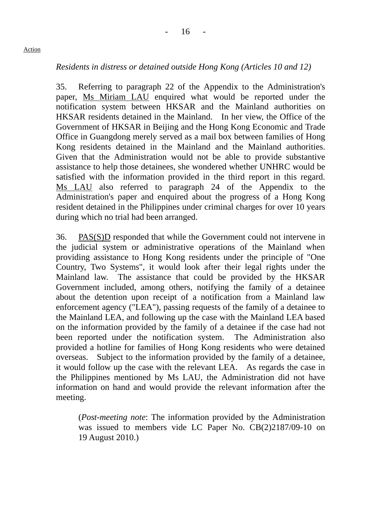## *Residents in distress or detained outside Hong Kong (Articles 10 and 12)*

35. Referring to paragraph 22 of the Appendix to the Administration's paper, Ms Miriam LAU enquired what would be reported under the notification system between HKSAR and the Mainland authorities on HKSAR residents detained in the Mainland. In her view, the Office of the Government of HKSAR in Beijing and the Hong Kong Economic and Trade Office in Guangdong merely served as a mail box between families of Hong Kong residents detained in the Mainland and the Mainland authorities. Given that the Administration would not be able to provide substantive assistance to help those detainees, she wondered whether UNHRC would be satisfied with the information provided in the third report in this regard. Ms LAU also referred to paragraph 24 of the Appendix to the Administration's paper and enquired about the progress of a Hong Kong resident detained in the Philippines under criminal charges for over 10 years during which no trial had been arranged.

36. PAS(S)D responded that while the Government could not intervene in the judicial system or administrative operations of the Mainland when providing assistance to Hong Kong residents under the principle of "One Country, Two Systems", it would look after their legal rights under the Mainland law. The assistance that could be provided by the HKSAR Government included, among others, notifying the family of a detainee about the detention upon receipt of a notification from a Mainland law enforcement agency ("LEA"), passing requests of the family of a detainee to the Mainland LEA, and following up the case with the Mainland LEA based on the information provided by the family of a detainee if the case had not been reported under the notification system. The Administration also provided a hotline for families of Hong Kong residents who were detained overseas. Subject to the information provided by the family of a detainee, it would follow up the case with the relevant LEA. As regards the case in the Philippines mentioned by Ms LAU, the Administration did not have information on hand and would provide the relevant information after the meeting.

(*Post-meeting note*: The information provided by the Administration was issued to members vide LC Paper No. CB(2)2187/09-10 on 19 August 2010.)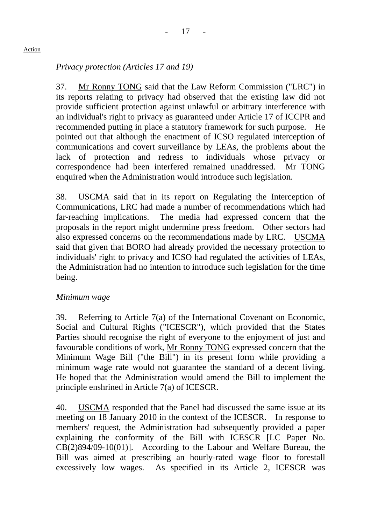# *Privacy protection (Articles 17 and 19)*

37. Mr Ronny TONG said that the Law Reform Commission ("LRC") in its reports relating to privacy had observed that the existing law did not provide sufficient protection against unlawful or arbitrary interference with an individual's right to privacy as guaranteed under Article 17 of ICCPR and recommended putting in place a statutory framework for such purpose. He pointed out that although the enactment of ICSO regulated interception of communications and covert surveillance by LEAs, the problems about the lack of protection and redress to individuals whose privacy or correspondence had been interfered remained unaddressed. Mr TONG enquired when the Administration would introduce such legislation.

38. USCMA said that in its report on Regulating the Interception of Communications, LRC had made a number of recommendations which had far-reaching implications. The media had expressed concern that the proposals in the report might undermine press freedom. Other sectors had also expressed concerns on the recommendations made by LRC. USCMA said that given that BORO had already provided the necessary protection to individuals' right to privacy and ICSO had regulated the activities of LEAs, the Administration had no intention to introduce such legislation for the time being.

## *Minimum wage*

39. Referring to Article 7(a) of the International Covenant on Economic, Social and Cultural Rights ("ICESCR"), which provided that the States Parties should recognise the right of everyone to the enjoyment of just and favourable conditions of work, Mr Ronny TONG expressed concern that the Minimum Wage Bill ("the Bill") in its present form while providing a minimum wage rate would not guarantee the standard of a decent living. He hoped that the Administration would amend the Bill to implement the principle enshrined in Article 7(a) of ICESCR.

40. USCMA responded that the Panel had discussed the same issue at its meeting on 18 January 2010 in the context of the ICESCR. In response to members' request, the Administration had subsequently provided a paper explaining the conformity of the Bill with ICESCR [LC Paper No. CB(2)894/09-10(01)]. According to the Labour and Welfare Bureau, the Bill was aimed at prescribing an hourly-rated wage floor to forestall excessively low wages. As specified in its Article 2, ICESCR was